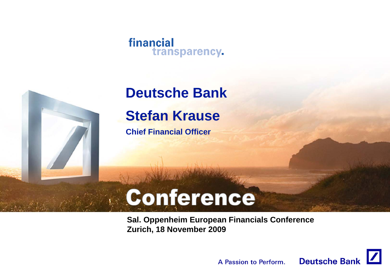#### financial transparency.



## **Deutsche Bank Stefan Krause**

**Chief Financial Officer**

# Conference

**Sal. Oppenheim European Financials Conference Zurich, 18 November 2009**

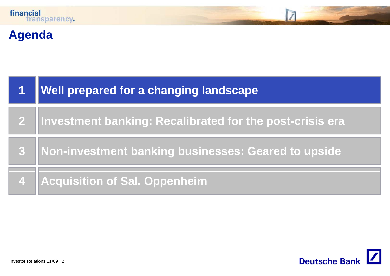

## **Agenda**

| $\overline{\mathbf{1}}$ | <b>Well prepared for a changing landscape</b>              |
|-------------------------|------------------------------------------------------------|
|                         | 2 Investment banking: Recalibrated for the post-crisis era |
| 3                       | Non-investment banking businesses: Geared to upside        |
|                         | 4   Acquisition of Sal. Oppenheim                          |

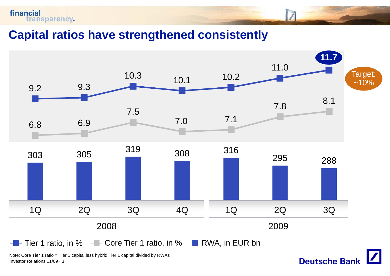

**Capital ratios have strengthened consistently**



**Deutsche Bank** 

Note: Core Tier 1 ratio = Tier 1 capital less hybrid Tier 1 capital divided by RWAs Investor Relations 11/09 · 3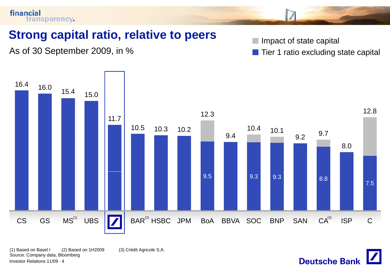

(1) Based on Basel I (2) Based on 1H2009 (3) Crédit Agricole S.A. Source: Company data, Bloomberg Investor Relations 11/09 · 4

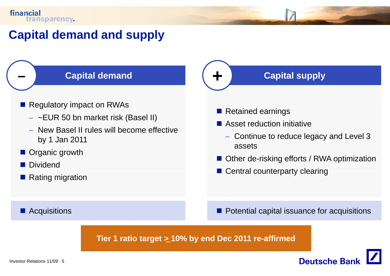**–**

### **Capital demand and supply**

#### **Capital demand**

- **Regulatory impact on RWAs** 
	- − ~EUR 50 bn market risk (Basel II)
	- − New Basel II rules will become effective by 1 Jan 2011
- **Organic growth**
- **Dividend**
- Rating migration

#### **Acquisitions**

#### **Capital supply**

**Retained earnings** 

**+**

- Asset reduction initiative
- − Continue to reduce legacy and Level 3 assets
	- Other de-risking efforts / RWA optimization
	- Central counterparty clearing

**Potential capital issuance for acquisitions** 

**Deutsche Ban** 

**Tier 1 ratio target <sup>&</sup>gt; 10% by end Dec 2011 re -affirmed** \_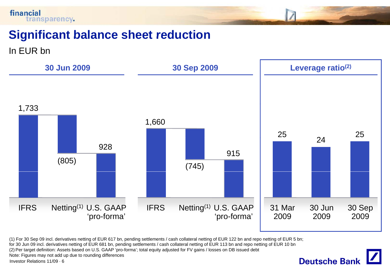

### **Significant balance sheet reduction reduction**

In EUR bn



**Deutsche Bank** 

(1) For 30 Sep 09 incl. derivatives netting of EUR 617 bn, pending settlements / cash collateral netting of EUR 122 bn and repo netting of EUR 5 bn;

for 30 Jun 09 incl. derivatives netting of EUR 681 bn, pending settlements / cash collateral netting of EUR 113 bn and repo netting of EUR 10 bn

(2) Per target definition: Assets based on U.S. GAAP 'pro-forma'; total equity adjusted for FV gains / losses on DB issued debt

Note: Figures may not add up due to rounding differences

Investor Relations 11/09 · 6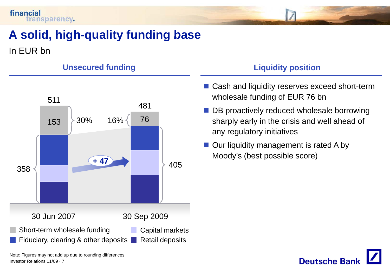

## **A solid high solid, high-quality funding base quality**

In EUR bn



#### Unsecured funding Liquidity position

- Cash and liquidity reserves exceed short-term wholesale funding of EUR 76 bn
- **DB** proactively reduced wholesale borrowing sharply early in the crisis and well ahead of any regulatory initiatives
- Our liquidity management is rated A by Moody's (best possible score)



Note: Figures may not add up due to rounding differences Investor Relations 11/09 · 7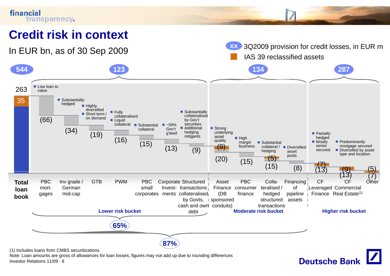

Note: Loan amounts are gross of allowances for loan losses; figures may not add up due to rounding differences Investor Relations 11/09 · 8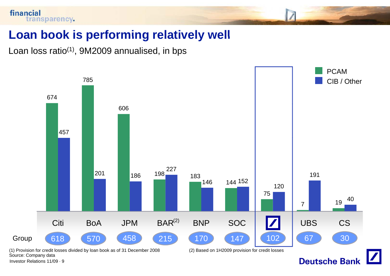

#### **Loan book is performing relatively well**

Loan loss ratio<sup>(1)</sup>, 9M2009 annualised, in bps



Investor Relations 11/09 · 9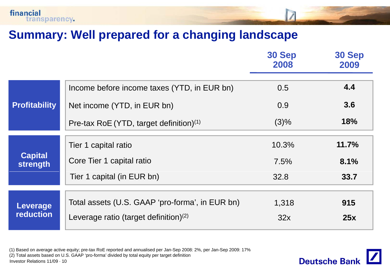

#### **Summary: Well prepared for <sup>a</sup> changing landscape**

|                                     |                                                                                                                     | <b>30 Sep</b><br>2008 | 30 Sep<br>2009 |
|-------------------------------------|---------------------------------------------------------------------------------------------------------------------|-----------------------|----------------|
|                                     | Income before income taxes (YTD, in EUR bn)                                                                         | 0.5                   | 4.4            |
| <b>Profitability</b>                | Net income (YTD, in EUR bn)                                                                                         | 0.9                   | 3.6            |
|                                     | Pre-tax RoE (YTD, target definition) $(1)$                                                                          | (3)%                  | <b>18%</b>     |
|                                     | Tier 1 capital ratio                                                                                                | 10.3%                 | 11.7%          |
| <b>Capital</b><br>strength          | Core Tier 1 capital ratio                                                                                           | 7.5%                  | 8.1%           |
|                                     | Tier 1 capital (in EUR bn)                                                                                          | 32.8                  | 33.7           |
|                                     | Total assets (U.S. GAAP 'pro-forma', in EUR bn)                                                                     | 1,318                 | 915            |
| <b>Leverage</b><br><b>reduction</b> | Leverage ratio (target definition) $(2)$                                                                            | 32x                   | 25x            |
|                                     | (1) Based on average active equity; pre-tax RoE reported and annualised per Jan-Sep 2008: 2%, per Jan-Sep 2009: 17% |                       |                |

(2) Total assets based on U.S. GAAP 'pro-forma' divided by total equity per target definition Investor Relations 11/09 · 10

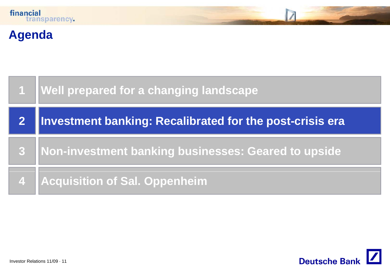

## **Agenda**

|                         | 1   Well prepared for a changing landscape               |
|-------------------------|----------------------------------------------------------|
|                         | Investment banking: Recalibrated for the post-crisis era |
| $\overline{\mathbf{3}}$ | Non-investment banking businesses: Geared to upside      |
|                         | 4 Acquisition of Sal. Oppenheim                          |

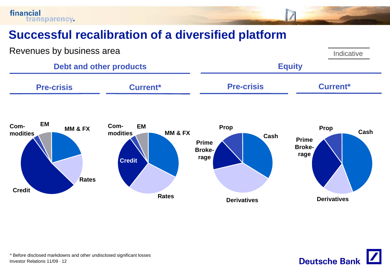financial transparency.

## **Successful recalibration of <sup>a</sup> diversified platform**



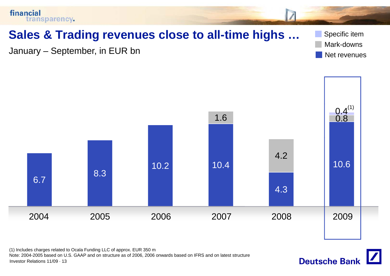

(1) Includes charges related to Ocala Funding LLC of approx. EUR 350 m Note: 2004-2005 based on U.S. GAAP and on structure as of 2006, 2006 onwards based on IFRS and on latest structure Investor Relations 11/09 · 13

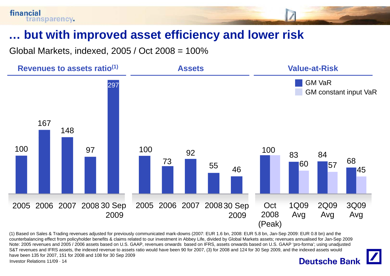### **… but with improved asset efficiency and lower risk with**

Global Markets, indexed, 2005 / Oct 2008 = 100%



(1) Based on Sales & Trading revenues adjusted for previously communicated mark-downs (2007: EUR 1.6 bn, 2008: EUR 5.8 bn, Jan-Sep 2009: EUR 0.8 bn) and the counterbalancing effect from policyholder benefits & claims related to our investment in Abbey Life, divided by Global Markets assets; revenues annualised for Jan-Sep 2009 Note: 2005 revenues and 2005 / 2006 assets based on U.S. GAAP, revenues onwards based on IFRS, assets onwards based on U.S. GAAP 'pro-forma'; using unadjusted S&T revenues and IFRS assets, the indexed revenue to assets ratio would have been 90 for 2007, (3) for 2008 and 124 for 30 Sep 2009, and the indexed assets would have been 135 for 2007, 151 for 2008 and 108 for 30 Sep 2009

Investor Relations 11/09 · 14

#### **Deutsche Bank**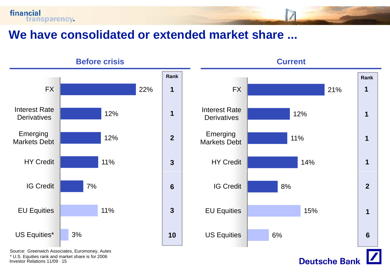



Source: Greenwich Associates, Euromoney, Autex \* U.S. Equities rank and market share is for 2006 Investor Relations 11/09 · 15

financial

transparency.



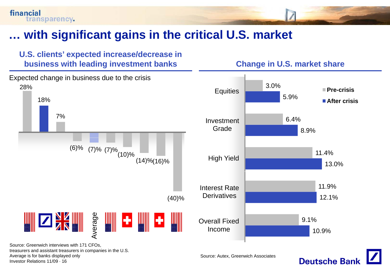## **… with significant gains in the critical U S market U.S.**





treasurers and assistant treasurers in companies in the U.S. Average is for banks displayed only Investor Relations 11/09 · 16

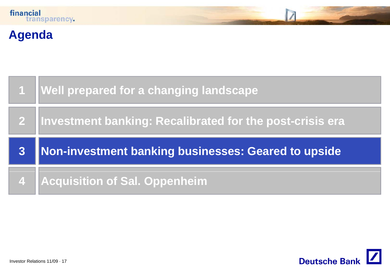## **Agenda**

|   | Well prepared for a changing landscape                      |
|---|-------------------------------------------------------------|
|   | 2  Investment banking: Recalibrated for the post-crisis era |
|   |                                                             |
| 3 | Non-investment banking businesses: Geared to upside         |

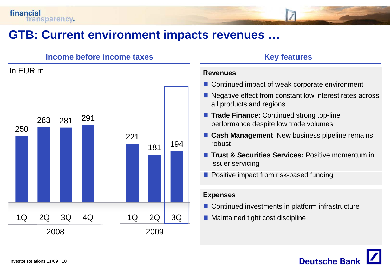In EUR m

#### **GTB: Current environment impacts revenues revenues …**

#### **Income before income taxes** *Key features*

## 250283 281 <sup>291</sup> 221181 <sup>194</sup> 1Q 2Q 3Q 4Q 2008 2009 1Q 2Q 3Q

#### **Revenues**

- Continued impact of weak corporate environment
- Negative effect from constant low interest rates across all products and regions
- **Trade Finance:** Continued strong top-line performance despite low trade volumes
- **E** Cash Management: New business pipeline remains robust
- **Trust & Securities Services:** Positive momentum in issuer servicing
- **Positive impact from risk-based funding**

#### **Expenses**

- $\blacksquare$  Continued investments in platform infrastructure
- Maintained tight cost discipline

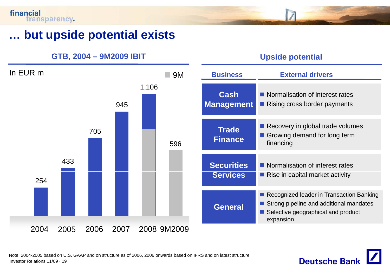#### **… but upside potential exists**

**GTB, 2004 – 9M2009 IBIT Upside potential**





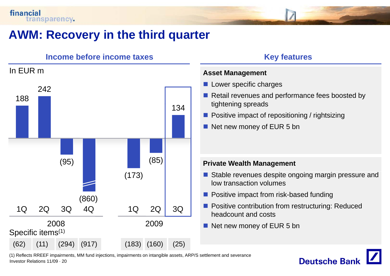

### **AWM: Recovery in the third quarter**

#### **Income before income taxes** *Key features* In EUR m **A M Asset Management** 1882421344 | 3 (95) (85) **Private Wealth Management** (173) (860) 1Q 2008 20092Q 3Q 4Q 1Q 2Q 3Q Specific items<sup>(1)</sup> (62) (11) (294) (917) (183) (160) (25)

- **Lower specific charges**
- Retail revenues and performance fees boosted by tightening spreads
- **Positive impact of repositioning / rightsizing**
- Net new money of EUR 5 bn

- Stable revenues despite ongoing margin pressure and low transaction volumes
- **Positive impact from risk-based funding**
- **Positive contribution from restructuring: Reduced** headcount and costs
- Net new money of EUR 5 bn

(1) Reflects RREEF impairments, MM fund injections, impairments on intangible assets, ARP/S settlement and severance Investor Relations 11/09 · 20

## **Deutsche Banl**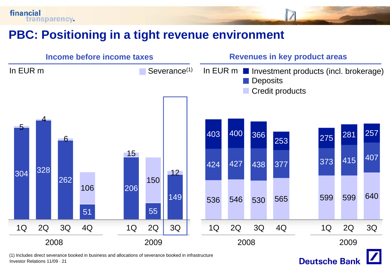



Investor Relations 11/09 · 21

financial

transparency.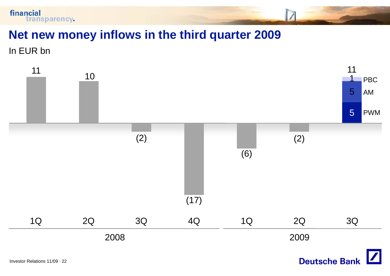

#### **Net new money inflows in the third quarter 2009**

In EUR bn

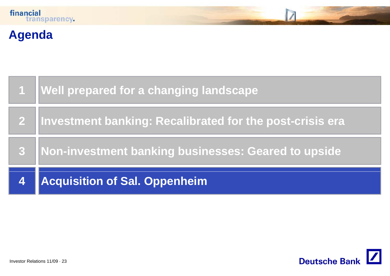## **Agenda**

|                         | 1   Well prepared for a changing landscape                 |
|-------------------------|------------------------------------------------------------|
|                         | 2 Investment banking: Recalibrated for the post-crisis era |
| 8                       | Non-investment banking businesses: Geared to upside        |
| $\overline{\mathbf{4}}$ | Acquisition of Sal. Oppenheim                              |

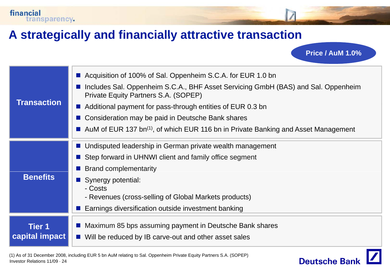### **A strategically and financially attractive transaction attractive**

financial

transparency.

**Transaction**■ Acquisition of 100% of Sal. Oppenheim S.C.A. for EUR 1.0 bn ■ Includes Sal. Oppenheim S.C.A., BHF Asset Servicing GmbH (BAS) and Sal. Oppenheim Private Equity Partners S.A. (SOPEP)  $\blacksquare$  Additional payment for pass-through entities of EUR 0.3 bn П Consideration may be paid in Deutsche Bank shares AuM of EUR 137 bn<sup>(1)</sup>, of which EUR 116 bn in Private Banking and Asset Management **Undisputed leadership in German private wealth management** ■ Step forward in UHNWI client and family office segment **Brand complementarity Benefits**П Synergy potential: - Costs- Revenues (cross-selling of Global Markets products) П Earnings diversification outside investment banking **Tier 1ca pital im pact p p** ■ Maximum 85 bps assuming payment in Deutsche Bank shares  $\blacksquare$  Will be reduced by IB carve-out and other asset sales



**Price / AuM 1.0%**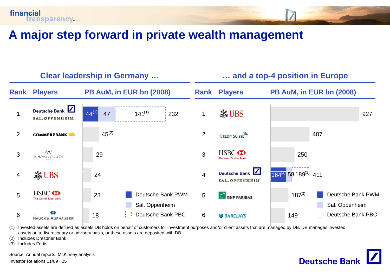

#### **A major step forward in private wealth management**



**Deutsche Bank** 

(1) Invested assets are defined as assets DB holds on behalf of customers for investment purposes and/or client assets that are managed by DB. DB manages invested assets on a discretionary or advisory basis, or these assets are deposited with DB

(2) Includes Dresdner Bank

(3) Includes Fortis

Source: Annual reports, McKinsey analysis

Investor Relations 11/09 · 25